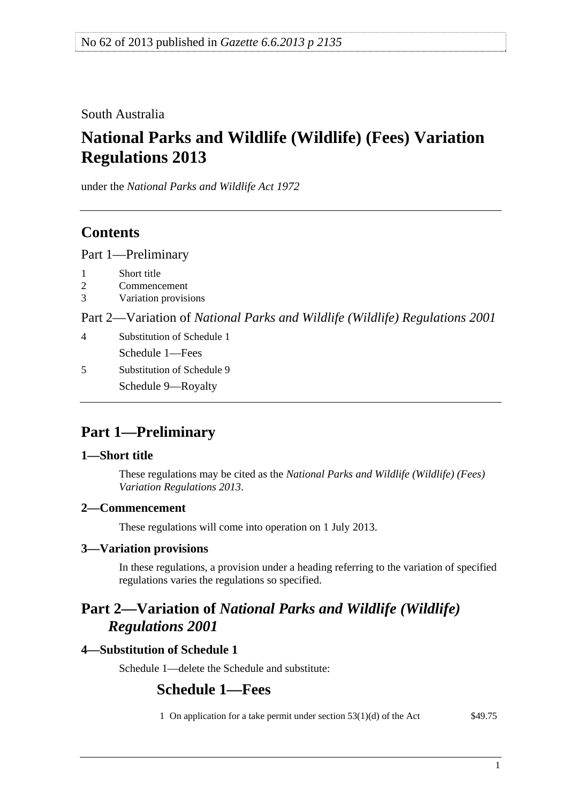<span id="page-0-0"></span>South Australia

# **National Parks and Wildlife (Wildlife) (Fees) Variation Regulations 2013**

under the *National Parks and Wildlife Act 1972*

## **Contents**

[Part 1—Preliminary](#page-0-0)

- [2 Commencement](#page-0-0)
- [3 Variation provisions](#page-0-0)

Part 2—Variation of *[National Parks and Wildlife \(Wildlife\) Regulations 2001](#page-0-0)*

- [4 Substitution of Schedule 1](#page-0-0) [Schedule 1—Fees](#page-0-0)
- [5 Substitution of Schedule 9](#page-1-0) [Schedule 9—Royalty](#page-0-0)

# **Part 1—Preliminary**

## **1—Short title**

These regulations may be cited as the *National Parks and Wildlife (Wildlife) (Fees) Variation Regulations 2013*.

## **2—Commencement**

These regulations will come into operation on 1 July 2013.

## **3—Variation provisions**

In these regulations, a provision under a heading referring to the variation of specified regulations varies the regulations so specified.

## **Part 2—Variation of** *National Parks and Wildlife (Wildlife) Regulations 2001*

## **4—Substitution of Schedule 1**

Schedule 1—delete the Schedule and substitute:

## **Schedule 1—Fees**

1 On application for a take permit under section 53(1)(d) of the Act \$49.75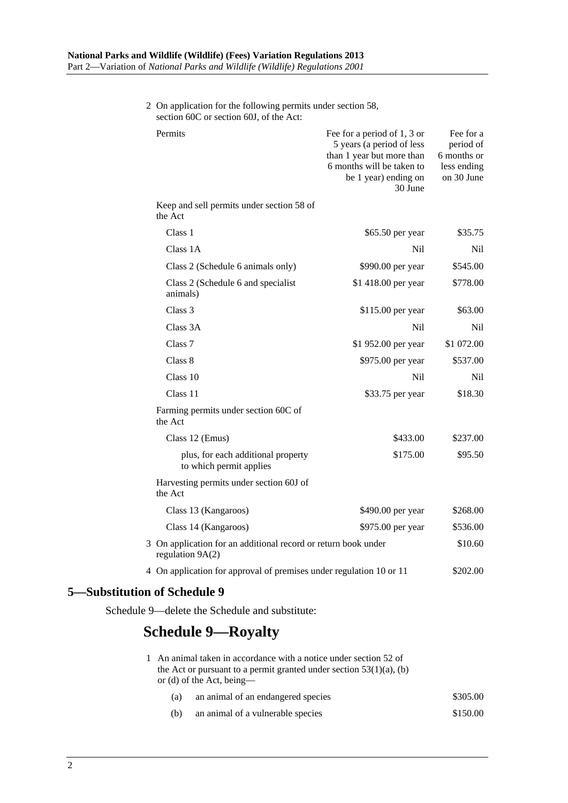<span id="page-1-0"></span>

| section out or section out, of the Act:                                                                                                                     |                                                                                                                                                       |                                                                    |
|-------------------------------------------------------------------------------------------------------------------------------------------------------------|-------------------------------------------------------------------------------------------------------------------------------------------------------|--------------------------------------------------------------------|
| Permits                                                                                                                                                     | Fee for a period of 1, 3 or<br>5 years (a period of less<br>than 1 year but more than<br>6 months will be taken to<br>be 1 year) ending on<br>30 June | Fee for a<br>period of<br>6 months or<br>less ending<br>on 30 June |
| Keep and sell permits under section 58 of<br>the Act                                                                                                        |                                                                                                                                                       |                                                                    |
| Class 1                                                                                                                                                     | \$65.50 per year                                                                                                                                      | \$35.75                                                            |
| Class 1A                                                                                                                                                    | Nil                                                                                                                                                   | Nil                                                                |
| Class 2 (Schedule 6 animals only)                                                                                                                           | \$990.00 per year                                                                                                                                     | \$545.00                                                           |
| Class 2 (Schedule 6 and specialist<br>animals)                                                                                                              | \$1 418.00 per year                                                                                                                                   | \$778.00                                                           |
| Class 3                                                                                                                                                     | \$115.00 per year                                                                                                                                     | \$63.00                                                            |
| Class 3A                                                                                                                                                    | N <sub>il</sub>                                                                                                                                       | Nil                                                                |
| Class <sub>7</sub>                                                                                                                                          | \$1 952.00 per year                                                                                                                                   | \$1 072.00                                                         |
| Class 8                                                                                                                                                     | \$975.00 per year                                                                                                                                     | \$537.00                                                           |
| Class 10                                                                                                                                                    | N <sub>il</sub>                                                                                                                                       | Nil                                                                |
| Class 11                                                                                                                                                    | \$33.75 per year                                                                                                                                      | \$18.30                                                            |
| Farming permits under section 60C of<br>the Act                                                                                                             |                                                                                                                                                       |                                                                    |
| Class 12 (Emus)                                                                                                                                             | \$433.00                                                                                                                                              | \$237.00                                                           |
| plus, for each additional property<br>to which permit applies                                                                                               | \$175.00                                                                                                                                              | \$95.50                                                            |
| Harvesting permits under section 60J of<br>the Act                                                                                                          |                                                                                                                                                       |                                                                    |
| Class 13 (Kangaroos)                                                                                                                                        | \$490.00 per year                                                                                                                                     | \$268.00                                                           |
| Class 14 (Kangaroos)                                                                                                                                        | \$975.00 per year                                                                                                                                     | \$536.00                                                           |
| 3 On application for an additional record or return book under<br>regulation $9A(2)$<br>4 On application for approval of premises under regulation 10 or 11 |                                                                                                                                                       | \$10.60                                                            |
|                                                                                                                                                             |                                                                                                                                                       | \$202.00                                                           |
| 5-Substitution of Schedule 9                                                                                                                                |                                                                                                                                                       |                                                                    |

2 On application for the following permits under section 58, section 60C or section 60J, of the Act:

Schedule 9—delete the Schedule and substitute:

## **Schedule 9—Royalty**

|     | 1 An animal taken in accordance with a notice under section 52 of<br>the Act or pursuant to a permit granted under section $53(1)(a)$ , (b)<br>or (d) of the Act, being— |          |
|-----|--------------------------------------------------------------------------------------------------------------------------------------------------------------------------|----------|
| (a) | an animal of an endangered species                                                                                                                                       | \$305.00 |
| (b) | an animal of a vulnerable species                                                                                                                                        | \$150.00 |